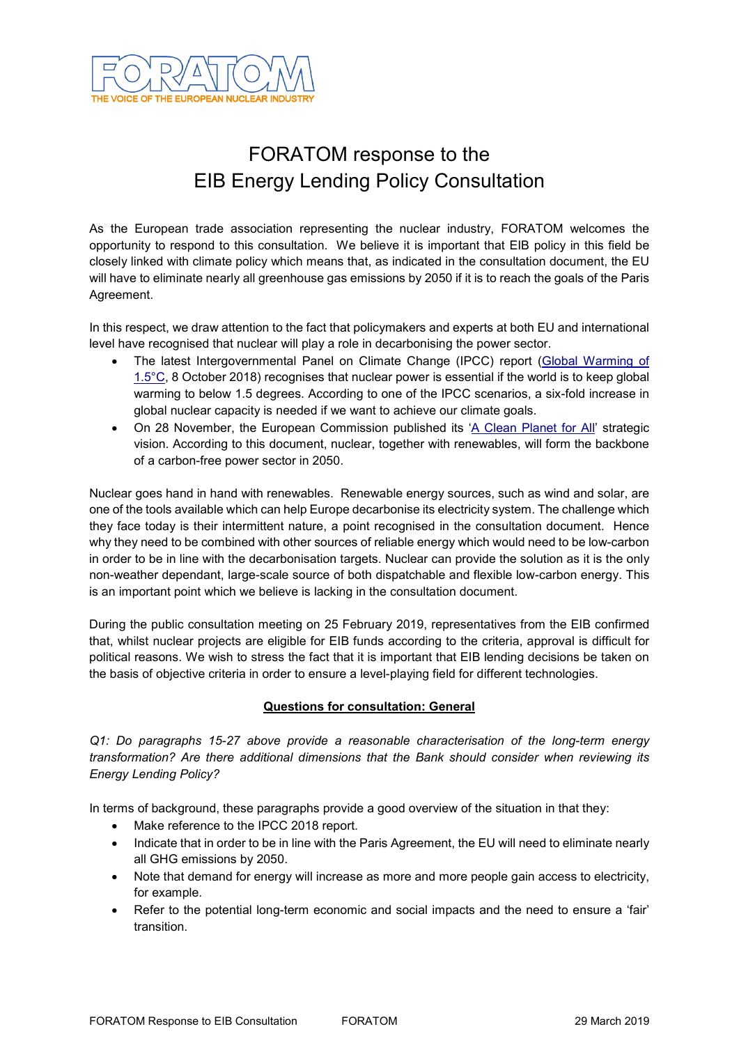

# FORATOM response to the EIB Energy Lending Policy Consultation

As the European trade association representing the nuclear industry, FORATOM welcomes the opportunity to respond to this consultation. We believe it is important that EIB policy in this field be closely linked with climate policy which means that, as indicated in the consultation document, the EU will have to eliminate nearly all greenhouse gas emissions by 2050 if it is to reach the goals of the Paris Agreement.

In this respect, we draw attention to the fact that policymakers and experts at both EU and international level have recognised that nuclear will play a role in decarbonising the power sector.

- The latest Intergovernmental Panel on Climate Change (IPCC) report [\(Global Warming of](http://www.ipcc.ch/report/sr15/?utm_source=POLITICO.EU&utm_campaign=a478f9220d-EMAIL_CAMPAIGN_2018_10_07_07_45&utm_medium=email&utm_term=0_10959edeb5-a478f9220d-190283149)  [1.5°C,](http://www.ipcc.ch/report/sr15/?utm_source=POLITICO.EU&utm_campaign=a478f9220d-EMAIL_CAMPAIGN_2018_10_07_07_45&utm_medium=email&utm_term=0_10959edeb5-a478f9220d-190283149) 8 October 2018) recognises that nuclear power is essential if the world is to keep global warming to below 1.5 degrees. According to one of the IPCC scenarios, a six-fold increase in global nuclear capacity is needed if we want to achieve our climate goals.
- On 28 November, the European Commission published its ['A Clean Planet for All'](https://ec.europa.eu/clima/policies/strategies/2050_en) strategic vision. According to this document, nuclear, together with renewables, will form the backbone of a carbon-free power sector in 2050.

Nuclear goes hand in hand with renewables. Renewable energy sources, such as wind and solar, are one of the tools available which can help Europe decarbonise its electricity system. The challenge which they face today is their intermittent nature, a point recognised in the consultation document. Hence why they need to be combined with other sources of reliable energy which would need to be low-carbon in order to be in line with the decarbonisation targets. Nuclear can provide the solution as it is the only non-weather dependant, large-scale source of both dispatchable and flexible low-carbon energy. This is an important point which we believe is lacking in the consultation document.

During the public consultation meeting on 25 February 2019, representatives from the EIB confirmed that, whilst nuclear projects are eligible for EIB funds according to the criteria, approval is difficult for political reasons. We wish to stress the fact that it is important that EIB lending decisions be taken on the basis of objective criteria in order to ensure a level-playing field for different technologies.

## **Questions for consultation: General**

*Q1: Do paragraphs 15-27 above provide a reasonable characterisation of the long-term energy transformation? Are there additional dimensions that the Bank should consider when reviewing its Energy Lending Policy?*

In terms of background, these paragraphs provide a good overview of the situation in that they:

- Make reference to the IPCC 2018 report.
- Indicate that in order to be in line with the Paris Agreement, the EU will need to eliminate nearly all GHG emissions by 2050.
- Note that demand for energy will increase as more and more people gain access to electricity, for example.
- Refer to the potential long-term economic and social impacts and the need to ensure a 'fair' transition.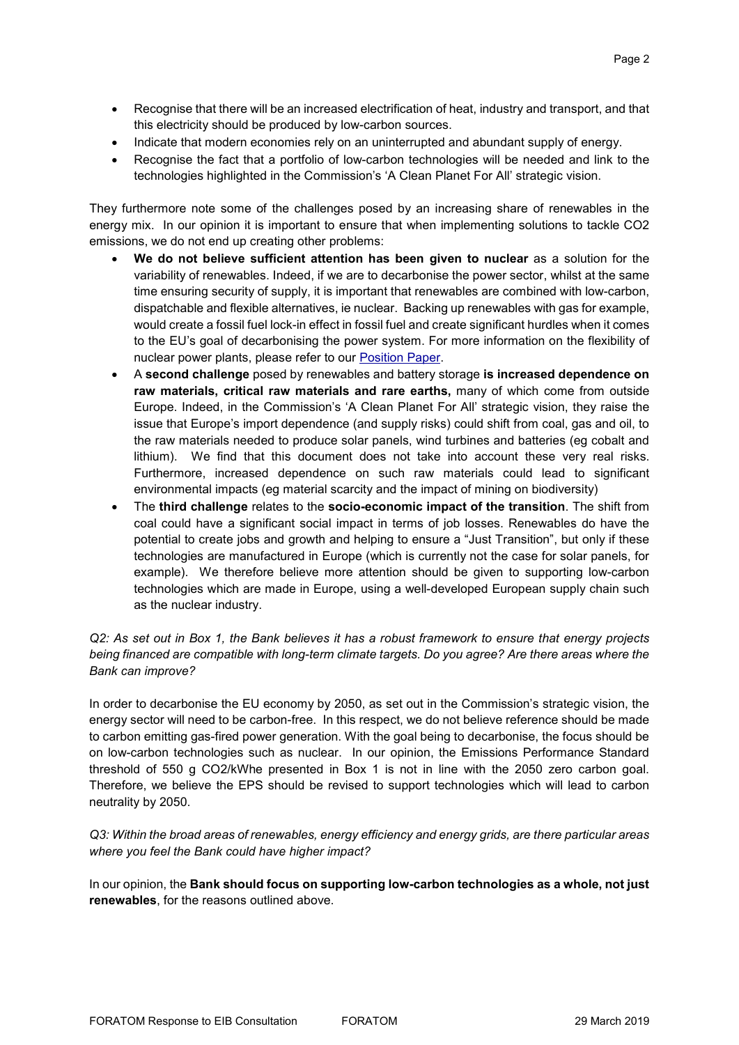- Recognise that there will be an increased electrification of heat, industry and transport, and that this electricity should be produced by low-carbon sources.
- Indicate that modern economies rely on an uninterrupted and abundant supply of energy.
- Recognise the fact that a portfolio of low-carbon technologies will be needed and link to the technologies highlighted in the Commission's 'A Clean Planet For All' strategic vision.

They furthermore note some of the challenges posed by an increasing share of renewables in the energy mix. In our opinion it is important to ensure that when implementing solutions to tackle CO2 emissions, we do not end up creating other problems:

- **We do not believe sufficient attention has been given to nuclear** as a solution for the variability of renewables. Indeed, if we are to decarbonise the power sector, whilst at the same time ensuring security of supply, it is important that renewables are combined with low-carbon, dispatchable and flexible alternatives, ie nuclear. Backing up renewables with gas for example, would create a fossil fuel lock-in effect in fossil fuel and create significant hurdles when it comes to the EU's goal of decarbonising the power system. For more information on the flexibility of nuclear power plants, please refer to our [Position Paper.](https://www.foratom.org/downloads/flexible-operation-of-nuclear-power-plants/?wpdmdl=42270&refresh=5c99d9a79845c1553586599)
- A **second challenge** posed by renewables and battery storage **is increased dependence on raw materials, critical raw materials and rare earths,** many of which come from outside Europe. Indeed, in the Commission's 'A Clean Planet For All' strategic vision, they raise the issue that Europe's import dependence (and supply risks) could shift from coal, gas and oil, to the raw materials needed to produce solar panels, wind turbines and batteries (eg cobalt and lithium). We find that this document does not take into account these very real risks. Furthermore, increased dependence on such raw materials could lead to significant environmental impacts (eg material scarcity and the impact of mining on biodiversity)
- The **third challenge** relates to the **socio-economic impact of the transition**. The shift from coal could have a significant social impact in terms of job losses. Renewables do have the potential to create jobs and growth and helping to ensure a "Just Transition", but only if these technologies are manufactured in Europe (which is currently not the case for solar panels, for example). We therefore believe more attention should be given to supporting low-carbon technologies which are made in Europe, using a well-developed European supply chain such as the nuclear industry.

## *Q2: As set out in Box 1, the Bank believes it has a robust framework to ensure that energy projects being financed are compatible with long-term climate targets. Do you agree? Are there areas where the Bank can improve?*

In order to decarbonise the EU economy by 2050, as set out in the Commission's strategic vision, the energy sector will need to be carbon-free. In this respect, we do not believe reference should be made to carbon emitting gas-fired power generation. With the goal being to decarbonise, the focus should be on low-carbon technologies such as nuclear. In our opinion, the Emissions Performance Standard threshold of 550 g CO2/kWhe presented in Box 1 is not in line with the 2050 zero carbon goal. Therefore, we believe the EPS should be revised to support technologies which will lead to carbon neutrality by 2050.

*Q3: Within the broad areas of renewables, energy efficiency and energy grids, are there particular areas where you feel the Bank could have higher impact?*

In our opinion, the **Bank should focus on supporting low-carbon technologies as a whole, not just renewables**, for the reasons outlined above.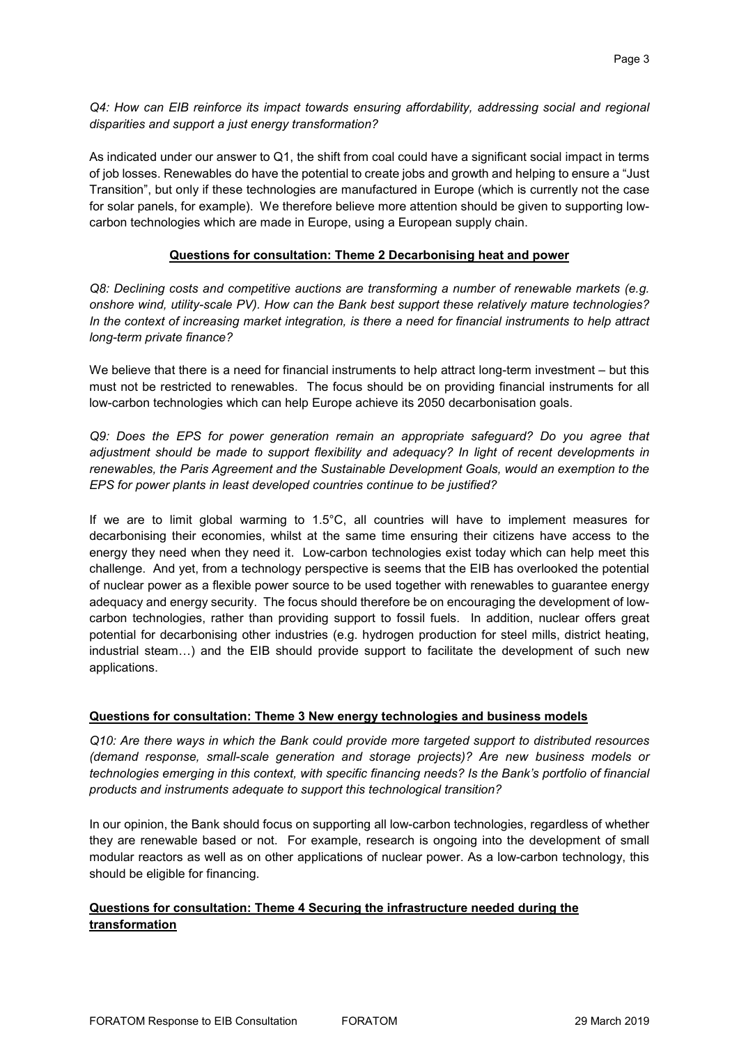*Q4: How can EIB reinforce its impact towards ensuring affordability, addressing social and regional disparities and support a just energy transformation?*

As indicated under our answer to Q1, the shift from coal could have a significant social impact in terms of job losses. Renewables do have the potential to create jobs and growth and helping to ensure a "Just Transition", but only if these technologies are manufactured in Europe (which is currently not the case for solar panels, for example). We therefore believe more attention should be given to supporting lowcarbon technologies which are made in Europe, using a European supply chain.

#### **Questions for consultation: Theme 2 Decarbonising heat and power**

*Q8: Declining costs and competitive auctions are transforming a number of renewable markets (e.g. onshore wind, utility-scale PV). How can the Bank best support these relatively mature technologies? In the context of increasing market integration, is there a need for financial instruments to help attract long-term private finance?*

We believe that there is a need for financial instruments to help attract long-term investment – but this must not be restricted to renewables. The focus should be on providing financial instruments for all low-carbon technologies which can help Europe achieve its 2050 decarbonisation goals.

*Q9: Does the EPS for power generation remain an appropriate safeguard? Do you agree that adjustment should be made to support flexibility and adequacy? In light of recent developments in renewables, the Paris Agreement and the Sustainable Development Goals, would an exemption to the EPS for power plants in least developed countries continue to be justified?*

If we are to limit global warming to 1.5°C, all countries will have to implement measures for decarbonising their economies, whilst at the same time ensuring their citizens have access to the energy they need when they need it. Low-carbon technologies exist today which can help meet this challenge. And yet, from a technology perspective is seems that the EIB has overlooked the potential of nuclear power as a flexible power source to be used together with renewables to guarantee energy adequacy and energy security. The focus should therefore be on encouraging the development of lowcarbon technologies, rather than providing support to fossil fuels. In addition, nuclear offers great potential for decarbonising other industries (e.g. hydrogen production for steel mills, district heating, industrial steam…) and the EIB should provide support to facilitate the development of such new applications.

#### **Questions for consultation: Theme 3 New energy technologies and business models**

*Q10: Are there ways in which the Bank could provide more targeted support to distributed resources (demand response, small-scale generation and storage projects)? Are new business models or technologies emerging in this context, with specific financing needs? Is the Bank's portfolio of financial products and instruments adequate to support this technological transition?*

In our opinion, the Bank should focus on supporting all low-carbon technologies, regardless of whether they are renewable based or not. For example, research is ongoing into the development of small modular reactors as well as on other applications of nuclear power. As a low-carbon technology, this should be eligible for financing.

## **Questions for consultation: Theme 4 Securing the infrastructure needed during the transformation**